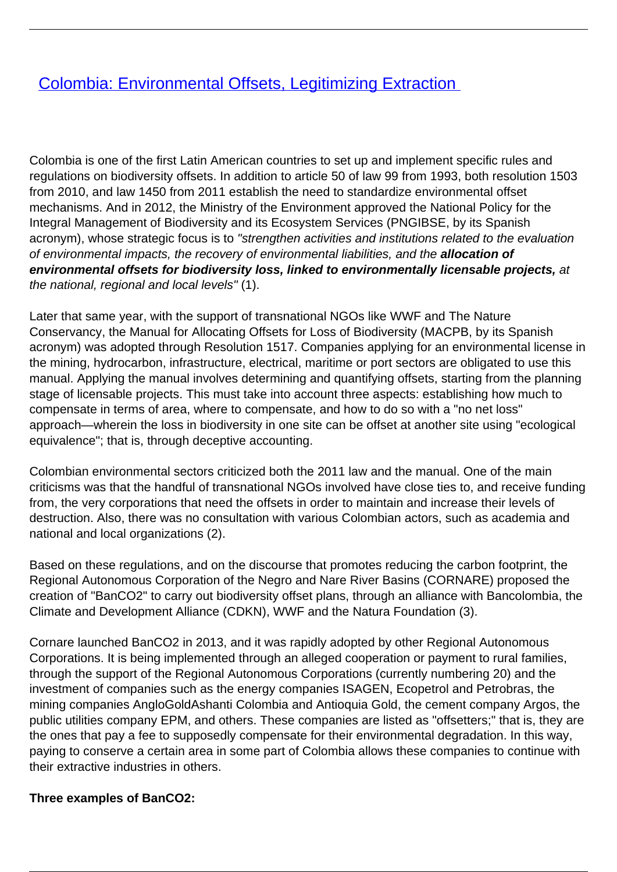## **[Colombia: Environmental Offsets, Legitimizing Extraction](/bulletin-articles/colombia-environmental-offsets-legitimizing-extraction)**

Colombia is one of the first Latin American countries to set up and implement specific rules and regulations on biodiversity offsets. In addition to article 50 of law 99 from 1993, both resolution 1503 from 2010, and law 1450 from 2011 establish the need to standardize environmental offset mechanisms. And in 2012, the Ministry of the Environment approved the National Policy for the Integral Management of Biodiversity and its Ecosystem Services (PNGIBSE, by its Spanish acronym), whose strategic focus is to "strengthen activities and institutions related to the evaluation of environmental impacts, the recovery of environmental liabilities, and the **allocation of environmental offsets for biodiversity loss, linked to environmentally licensable projects,** at the national, regional and local levels" (1).

Later that same year, with the support of transnational NGOs like WWF and The Nature Conservancy, the Manual for Allocating Offsets for Loss of Biodiversity (MACPB, by its Spanish acronym) was adopted through Resolution 1517. Companies applying for an environmental license in the mining, hydrocarbon, infrastructure, electrical, maritime or port sectors are obligated to use this manual. Applying the manual involves determining and quantifying offsets, starting from the planning stage of licensable projects. This must take into account three aspects: establishing how much to compensate in terms of area, where to compensate, and how to do so with a "no net loss" approach—wherein the loss in biodiversity in one site can be offset at another site using "ecological equivalence"; that is, through deceptive accounting.

Colombian environmental sectors criticized both the 2011 law and the manual. One of the main criticisms was that the handful of transnational NGOs involved have close ties to, and receive funding from, the very corporations that need the offsets in order to maintain and increase their levels of destruction. Also, there was no consultation with various Colombian actors, such as academia and national and local organizations (2).

Based on these regulations, and on the discourse that promotes reducing the carbon footprint, the Regional Autonomous Corporation of the Negro and Nare River Basins (CORNARE) proposed the creation of "BanCO2" to carry out biodiversity offset plans, through an alliance with Bancolombia, the Climate and Development Alliance (CDKN), WWF and the Natura Foundation (3).

Cornare launched BanCO2 in 2013, and it was rapidly adopted by other Regional Autonomous Corporations. It is being implemented through an alleged cooperation or payment to rural families, through the support of the Regional Autonomous Corporations (currently numbering 20) and the investment of companies such as the energy companies ISAGEN, Ecopetrol and Petrobras, the mining companies AngloGoldAshanti Colombia and Antioquia Gold, the cement company Argos, the public utilities company EPM, and others. These companies are listed as "offsetters;" that is, they are the ones that pay a fee to supposedly compensate for their environmental degradation. In this way, paying to conserve a certain area in some part of Colombia allows these companies to continue with their extractive industries in others.

## **Three examples of BanCO2:**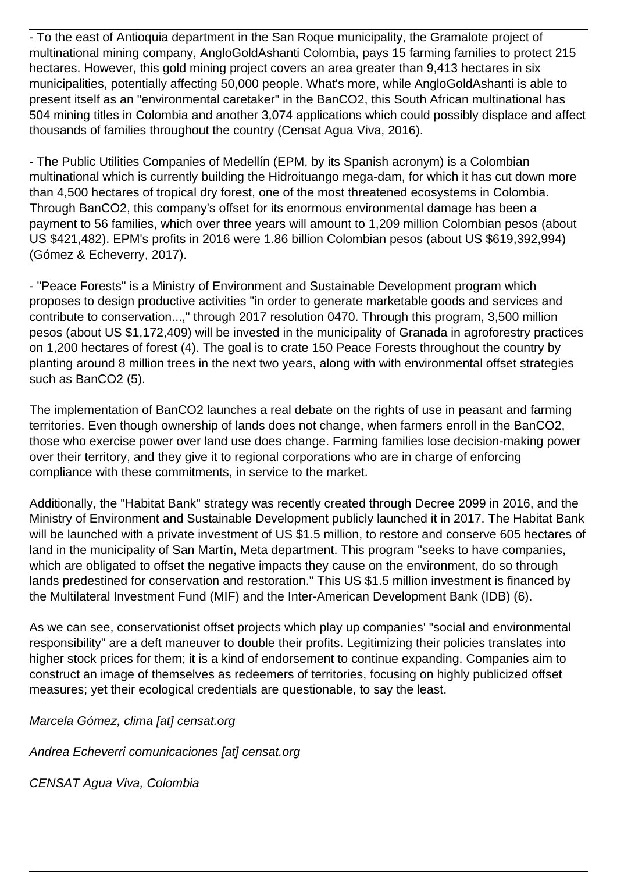- To the east of Antioquia department in the San Roque municipality, the Gramalote project of multinational mining company, AngloGoldAshanti Colombia, pays 15 farming families to protect 215 hectares. However, this gold mining project covers an area greater than 9,413 hectares in six municipalities, potentially affecting 50,000 people. What's more, while AngloGoldAshanti is able to present itself as an "environmental caretaker" in the BanCO2, this South African multinational has 504 mining titles in Colombia and another 3,074 applications which could possibly displace and affect thousands of families throughout the country (Censat Agua Viva, 2016).

- The Public Utilities Companies of Medellín (EPM, by its Spanish acronym) is a Colombian multinational which is currently building the Hidroituango mega-dam, for which it has cut down more than 4,500 hectares of tropical dry forest, one of the most threatened ecosystems in Colombia. Through BanCO2, this company's offset for its enormous environmental damage has been a payment to 56 families, which over three years will amount to 1,209 million Colombian pesos (about US \$421,482). EPM's profits in 2016 were 1.86 billion Colombian pesos (about US \$619,392,994) (Gómez & Echeverry, 2017).

- "Peace Forests" is a Ministry of Environment and Sustainable Development program which proposes to design productive activities "in order to generate marketable goods and services and contribute to conservation...," through 2017 resolution 0470. Through this program, 3,500 million pesos (about US \$1,172,409) will be invested in the municipality of Granada in agroforestry practices on 1,200 hectares of forest (4). The goal is to crate 150 Peace Forests throughout the country by planting around 8 million trees in the next two years, along with with environmental offset strategies such as BanCO2 (5).

The implementation of BanCO2 launches a real debate on the rights of use in peasant and farming territories. Even though ownership of lands does not change, when farmers enroll in the BanCO2, those who exercise power over land use does change. Farming families lose decision-making power over their territory, and they give it to regional corporations who are in charge of enforcing compliance with these commitments, in service to the market.

Additionally, the "Habitat Bank" strategy was recently created through Decree 2099 in 2016, and the Ministry of Environment and Sustainable Development publicly launched it in 2017. The Habitat Bank will be launched with a private investment of US \$1.5 million, to restore and conserve 605 hectares of land in the municipality of San Martín, Meta department. This program "seeks to have companies, which are obligated to offset the negative impacts they cause on the environment, do so through lands predestined for conservation and restoration." This US \$1.5 million investment is financed by the Multilateral Investment Fund (MIF) and the Inter-American Development Bank (IDB) (6).

As we can see, conservationist offset projects which play up companies' "social and environmental responsibility" are a deft maneuver to double their profits. Legitimizing their policies translates into higher stock prices for them; it is a kind of endorsement to continue expanding. Companies aim to construct an image of themselves as redeemers of territories, focusing on highly publicized offset measures; yet their ecological credentials are questionable, to say the least.

Marcela Gómez, clima [at] censat.org

Andrea Echeverri comunicaciones [at] censat.org

CENSAT Agua Viva, Colombia